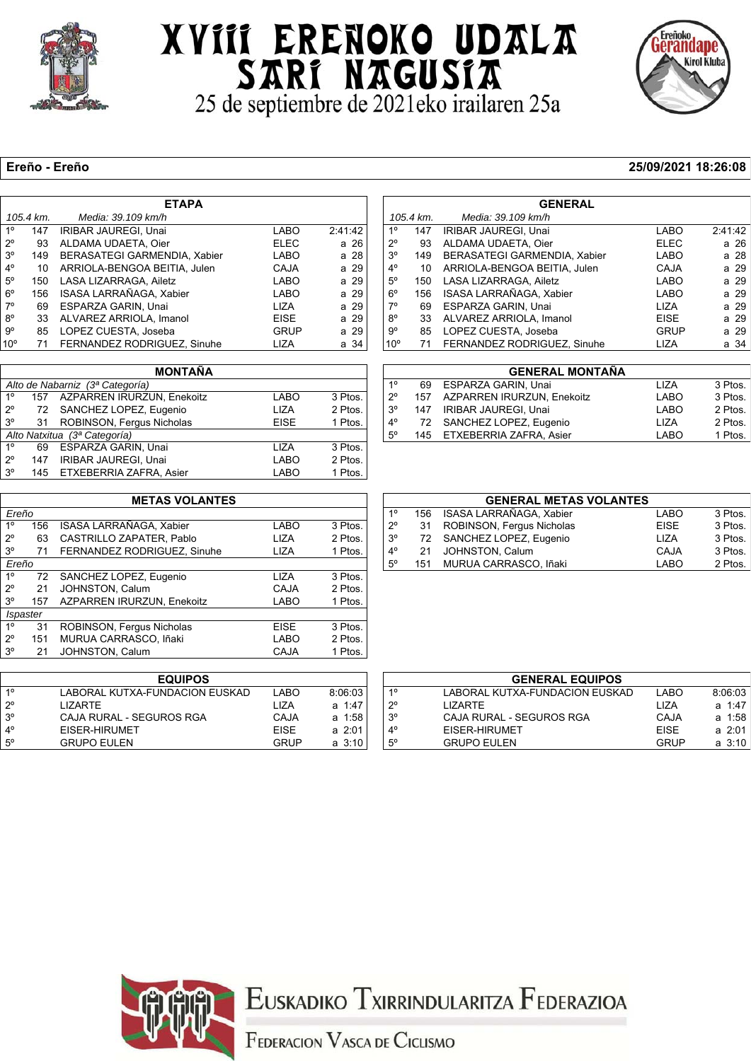

### XVIII ERENOKO UDALA SARI NAGUSIA



#### **Ereño - Ereño 25/09/2021 18:26:08**

| <b>ETAPA</b>    |           |                              |             |         |  |  |
|-----------------|-----------|------------------------------|-------------|---------|--|--|
|                 | 105.4 km. | Media: 39.109 km/h           |             |         |  |  |
| 1 <sup>°</sup>  | 147       | IRIBAR JAUREGI, Unai         | <b>LABO</b> | 2:41:42 |  |  |
| $2^{\circ}$     | 93        | ALDAMA UDAETA, Oier          | <b>ELEC</b> | a 26    |  |  |
| $3^{\circ}$     | 149       | BERASATEGI GARMENDIA, Xabier | <b>LABO</b> | a 28    |  |  |
| $4^\circ$       | 10        | ARRIOLA-BENGOA BEITIA, Julen | <b>CAJA</b> | a 29    |  |  |
| $5^\circ$       | 150       | LASA LIZARRAGA, Ailetz       | <b>LABO</b> | a 29    |  |  |
| $6^{\circ}$     | 156       | ISASA LARRAÑAGA, Xabier      | <b>LABO</b> | a 29    |  |  |
| $7^\circ$       | 69        | <b>ESPARZA GARIN, Unai</b>   | <b>LIZA</b> | a 29    |  |  |
| $8^{\circ}$     | 33        | ALVAREZ ARRIOLA, Imanol      | <b>EISE</b> | a 29    |  |  |
| 9°              | 85        | LOPEZ CUESTA, Joseba         | <b>GRUP</b> | a 29    |  |  |
| 10 <sup>o</sup> | 71        | FERNANDEZ RODRIGUEZ, Sinuhe  | LIZA        | a 34    |  |  |

| <b>MONTAÑA</b>               |     |                                 |             |         |  |  |
|------------------------------|-----|---------------------------------|-------------|---------|--|--|
|                              |     | Alto de Nabarniz (3ª Categoría) |             |         |  |  |
| $1^{\circ}$                  |     | 157 AZPARREN IRURZUN, Enekoitz  | <b>LABO</b> | 3 Ptos. |  |  |
| $2^{\circ}$                  |     | 72 SANCHEZ LOPEZ, Eugenio       | <b>LIZA</b> | 2 Ptos. |  |  |
| $3^{\circ}$                  | 31  | ROBINSON, Fergus Nicholas       | <b>EISE</b> | 1 Ptos. |  |  |
| Alto Natxitua (3ª Categoría) |     |                                 |             |         |  |  |
| $1^{\circ}$                  | 69  | ESPARZA GARIN, Unai             | 117A        | 3 Ptos. |  |  |
| $2^{\circ}$                  | 147 | IRIBAR JAUREGI, Unai            | LABO        | 2 Ptos. |  |  |
| $3^{\circ}$                  |     | 145 ETXEBERRIA ZAFRA, Asier     | <b>LABO</b> | 1 Ptos. |  |  |

| <b>METAS VOLANTES</b> |     |                                   |             |         |  |  |  |
|-----------------------|-----|-----------------------------------|-------------|---------|--|--|--|
| Ereño                 |     |                                   |             |         |  |  |  |
| 1 <sup>0</sup>        | 156 | ISASA LARRAÑAGA, Xabier           | LABO        | 3 Ptos. |  |  |  |
| $2^{\circ}$           | 63  | CASTRILLO ZAPATER, Pablo          | LIZA        | 2 Ptos. |  |  |  |
| 3 <sup>o</sup>        | 71  | FERNANDEZ RODRIGUEZ, Sinuhe       | <b>LIZA</b> | 1 Ptos. |  |  |  |
| Ereño                 |     |                                   |             |         |  |  |  |
| 1 <sup>0</sup>        | 72  | SANCHEZ LOPEZ, Eugenio            | LIZA        | 3 Ptos. |  |  |  |
| $2^{\circ}$           | 21  | JOHNSTON, Calum                   | CAJA        | 2 Ptos. |  |  |  |
| 3°                    | 157 | <b>AZPARREN IRURZUN, Enekoitz</b> | LABO        | 1 Ptos. |  |  |  |
| <b>Ispaster</b>       |     |                                   |             |         |  |  |  |
| 1 <sup>0</sup>        | 31  | ROBINSON, Fergus Nicholas         | <b>EISE</b> | 3 Ptos. |  |  |  |
| $2^{\circ}$           | 151 | MURUA CARRASCO, Iñaki             | LABO        | 2 Ptos. |  |  |  |
| 3 <sup>o</sup>        | 21  | JOHNSTON, Calum                   | CAJA        | 1 Ptos. |  |  |  |
|                       |     |                                   |             |         |  |  |  |

| <b>EQUIPOS</b> |                                |             |             |  |  |  |  |
|----------------|--------------------------------|-------------|-------------|--|--|--|--|
| 10             | LABORAL KUTXA-FUNDACION EUSKAD | LABO        | 8:06:03     |  |  |  |  |
| $2^{\circ}$    | I IZARTF                       | 117A        | $a + 47$    |  |  |  |  |
| $3^{\circ}$    | CAJA RURAL - SEGUROS RGA       | CAJA        | a 1:58      |  |  |  |  |
| $4^{\circ}$    | EISER-HIRUMET                  | <b>FISF</b> | a 2:01      |  |  |  |  |
| 5°             | <b>GRUPO EULEN</b>             | GRUP        | $a \, 3:10$ |  |  |  |  |

| <b>GENERAL</b>  |           |                              |             |         |  |  |
|-----------------|-----------|------------------------------|-------------|---------|--|--|
|                 | 105.4 km. | Media: 39.109 km/h           |             |         |  |  |
| 1°              | 147       | IRIBAR JAUREGI, Unai         | LABO        | 2:41:42 |  |  |
| $2^{\circ}$     | 93        | ALDAMA UDAETA, Oier          | <b>ELEC</b> | a 26    |  |  |
| $3^{\circ}$     | 149       | BERASATEGI GARMENDIA, Xabier | LABO        | a 28    |  |  |
| 4°              | 10        | ARRIOLA-BENGOA BEITIA, Julen | CAJA        | a 29    |  |  |
| $5^{\circ}$     | 150       | LASA LIZARRAGA, Ailetz       | LABO        | a 29    |  |  |
| $6^{\circ}$     | 156       | ISASA LARRAÑAGA, Xabier      | LABO        | a 29    |  |  |
| 7°              | 69        | ESPARZA GARIN, Unai          | LIZA        | a 29    |  |  |
| $8^{\circ}$     | 33        | ALVAREZ ARRIOLA, Imanol      | <b>EISE</b> | a 29    |  |  |
| 9°              | 85        | LOPEZ CUESTA, Joseba         | GRUP        | a 29    |  |  |
| 10 <sup>o</sup> | 71        | FERNANDEZ RODRIGUEZ, Sinuhe  | LIZA        | a 34    |  |  |
|                 |           |                              |             |         |  |  |

|             | <b>GENERAL MONTAÑA</b> |                                |             |         |  |  |  |  |
|-------------|------------------------|--------------------------------|-------------|---------|--|--|--|--|
| $1^{\circ}$ |                        | 69 ESPARZA GARIN, Unai         | <b>LIZA</b> | 3 Ptos. |  |  |  |  |
| $2^{\circ}$ |                        | 157 AZPARREN IRURZUN. Enekoitz | <b>LABO</b> | 3 Ptos. |  |  |  |  |
| $3^\circ$   |                        | 147 IRIBAR JAUREGI, Unai       | LABO        | 2 Ptos. |  |  |  |  |
| $4^\circ$   |                        | 72 SANCHEZ LOPEZ, Eugenio      | <b>LIZA</b> | 2 Ptos. |  |  |  |  |
| $5^{\circ}$ |                        | 145 ETXEBERRIA ZAFRA, Asier    | <b>LABO</b> | 1 Ptos. |  |  |  |  |

| <b>GENERAL METAS VOLANTES</b> |     |                           |             |         |  |  |  |  |
|-------------------------------|-----|---------------------------|-------------|---------|--|--|--|--|
| $1^{\circ}$                   | 156 | ISASA LARRAÑAGA, Xabier   | <b>LABO</b> | 3 Ptos. |  |  |  |  |
| $2^{\circ}$                   | 31  | ROBINSON, Fergus Nicholas | <b>EISE</b> | 3 Ptos. |  |  |  |  |
| $3^{\circ}$                   |     | 72 SANCHEZ LOPEZ, Eugenio | <b>LIZA</b> | 3 Ptos. |  |  |  |  |
| $4^{\circ}$                   | 21  | JOHNSTON, Calum           | CAJA        | 3 Ptos. |  |  |  |  |
| $5^{\circ}$                   |     | 151 MURUA CARRASCO, Iñaki | LABO        | 2 Ptos. |  |  |  |  |

| <b>GENERAL EQUIPOS</b> |                                |             |             |  |  |  |  |
|------------------------|--------------------------------|-------------|-------------|--|--|--|--|
| $1^{\circ}$            | LABORAL KUTXA-FUNDACION EUSKAD | LABO        | 8:06:03     |  |  |  |  |
| $2^{\circ}$            | I IZARTF                       | 1 I 7 A     | $a + 47$    |  |  |  |  |
| $3^{\circ}$            | CAJA RURAL - SEGUROS RGA       | CAJA        | a 1:58      |  |  |  |  |
| $4^{\circ}$            | EISER-HIRUMET                  | <b>FISF</b> | $a \; 2:01$ |  |  |  |  |
| $5^{\circ}$            | <b>GRUPO EULEN</b>             | GRUP        | $a \; 3:10$ |  |  |  |  |



EUSKADIKO TXIRRINDULARITZA FEDERAZIOA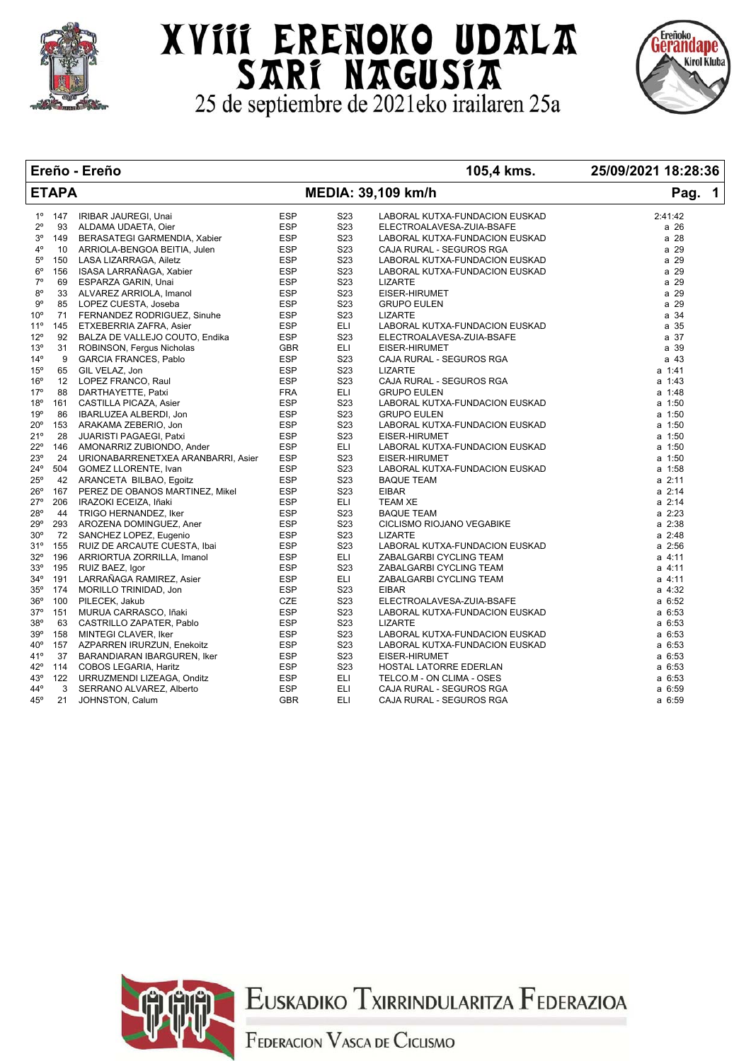

# XVIII ERENOKO UDALA SARI NAGUSIA



#### **Ereño - Ereño 105,4 kms. 25/09/2021 18:28:36**

|                 | <b>ETAPA</b> |                                    | Pag. 1     |                  |                                                                                                                                                                                                                                 |             |
|-----------------|--------------|------------------------------------|------------|------------------|---------------------------------------------------------------------------------------------------------------------------------------------------------------------------------------------------------------------------------|-------------|
| $1^{\circ}$     | 147          | IRIBAR JAUREGI, Unai               | <b>ESP</b> | S <sub>23</sub>  | LABORAL KUTXA-FUNDACION EUSKAD<br>ELECTROALAVESA-ZUIA-BSAFE<br>LABORAL KUTXA-FUNDACION EUSKAD<br>CAJA RURAL - SEGUROS RGA<br>LABORAL KUTXA-FUNDACION EUSKAD<br>LABORAL KUTXA-FUNDACION EUSKAD<br>LABORAL KUTXA-FUNDACION EUSKAD | 2:41:42     |
| $2^{\circ}$     | 93           | ALDAMA UDAETA, Oier                | <b>ESP</b> | S23              |                                                                                                                                                                                                                                 | a 26        |
| $3^{\circ}$     | 149          | BERASATEGI GARMENDIA, Xabier       | <b>ESP</b> | S <sub>2</sub> 3 |                                                                                                                                                                                                                                 | a 28        |
| $4^{\circ}$     | 10           | ARRIOLA-BENGOA BEITIA, Julen       | <b>ESP</b> | S <sub>23</sub>  |                                                                                                                                                                                                                                 | a 29        |
| $5^{\circ}$     | 150          | LASA LIZARRAGA, Ailetz             | <b>ESP</b> | S23              |                                                                                                                                                                                                                                 | a 29        |
| $6^{\circ}$     | 156          | ISASA LARRAÑAGA, Xabier            | <b>ESP</b> | S <sub>23</sub>  |                                                                                                                                                                                                                                 | a 29        |
| $7^\circ$       | 69           | ESPARZA GARIN, Unai                | <b>ESP</b> | S23              | <b>LIZARTE</b>                                                                                                                                                                                                                  | a 29        |
| $8^{\circ}$     | 33           | ALVAREZ ARRIOLA, Imanol            | <b>ESP</b> | S <sub>23</sub>  | EISER-HIRUMET                                                                                                                                                                                                                   | a 29        |
| $9^{\circ}$     | 85           | LOPEZ CUESTA, Joseba               | <b>ESP</b> | S23              | <b>GRUPO EULEN</b>                                                                                                                                                                                                              | a 29        |
| 10 <sup>o</sup> | 71           | FERNANDEZ RODRIGUEZ, Sinuhe        | <b>ESP</b> | S23              | <b>LIZARTE</b>                                                                                                                                                                                                                  | a 34        |
| $11^{\circ}$    | 145          | ETXEBERRIA ZAFRA, Asier            | ESP        | <b>ELI</b>       | LABORAL KUTXA-FUNDACION EUSKAD                                                                                                                                                                                                  | a 35        |
| $12^{\circ}$    | 92           | BALZA DE VALLEJO COUTO, Endika     | <b>ESP</b> | S <sub>23</sub>  | ELECTROALAVESA-ZUIA-BSAFE                                                                                                                                                                                                       | a 37        |
| 13 <sup>°</sup> | 31           | ROBINSON, Fergus Nicholas          | <b>GBR</b> | ELI              | EISER-HIRUMET                                                                                                                                                                                                                   | a 39        |
| $14^{\circ}$    | 9            | <b>GARCIA FRANCES, Pablo</b>       | <b>ESP</b> | S <sub>23</sub>  | CAJA RURAL - SEGUROS RGA                                                                                                                                                                                                        | a 43        |
| $15^{\circ}$    | 65           | GIL VELAZ, Jon                     | <b>ESP</b> | S <sub>23</sub>  | <b>LIZARTE</b>                                                                                                                                                                                                                  | a 1:41      |
| $16^{\circ}$    | 12           | LOPEZ FRANCO, Raul                 | <b>ESP</b> | S23              | CAJA RURAL - SEGUROS RGA                                                                                                                                                                                                        | a 1:43      |
| $17^{\circ}$    | 88           | DARTHAYETTE, Patxi                 | <b>FRA</b> | ELI              | <b>GRUPO EULEN</b>                                                                                                                                                                                                              | a 1:48      |
| $18^{\circ}$    | 161          | CASTILLA PICAZA, Asier             | <b>ESP</b> | S23              | LABORAL KUTXA-FUNDACION EUSKAD                                                                                                                                                                                                  | $a$ 1:50    |
| 19°             | 86           | IBARLUZEA ALBERDI, Jon             | <b>ESP</b> | S <sub>2</sub> 3 | <b>GRUPO EULEN</b>                                                                                                                                                                                                              | $a$ 1:50    |
| 20°             | 153          | ARAKAMA ZEBERIO, Jon               | <b>ESP</b> | S <sub>23</sub>  | LABORAL KUTXA-FUNDACION EUSKAD                                                                                                                                                                                                  | $a$ 1:50    |
| 21°             | 28           | <b>JUARISTI PAGAEGI, Patxi</b>     | <b>ESP</b> | S <sub>23</sub>  | EISER-HIRUMET                                                                                                                                                                                                                   | $a$ 1:50    |
| 22°             | 146          | AMONARRIZ ZUBIONDO, Ander          | <b>ESP</b> | <b>ELI</b>       | LABORAL KUTXA-FUNDACION EUSKAD                                                                                                                                                                                                  | $a$ 1:50    |
| 23°             | 24           | URIONABARRENETXEA ARANBARRI, Asier | <b>ESP</b> | S23              | EISER-HIRUMET                                                                                                                                                                                                                   | $a$ 1:50    |
| 24°             | 504          | <b>GOMEZ LLORENTE, Ivan</b>        | <b>ESP</b> | S <sub>23</sub>  | LABORAL KUTXA-FUNDACION EUSKAD                                                                                                                                                                                                  | $a$ 1:58    |
| 25°             | 42           | ARANCETA BILBAO, Egoitz            | <b>ESP</b> | S <sub>23</sub>  | <b>BAQUE TEAM</b>                                                                                                                                                                                                               | $a \; 2:11$ |
| 26°             | 167          | PEREZ DE OBANOS MARTINEZ, Mikel    | <b>ESP</b> | S <sub>23</sub>  | <b>EIBAR</b>                                                                                                                                                                                                                    | $a \, 2:14$ |
| 27°             | 206          | IRAZOKI ECEIZA, Iñaki              | <b>ESP</b> | <b>ELI</b>       | <b>TEAM XE</b>                                                                                                                                                                                                                  | $a$ 2:14    |
| 28°             | 44           | TRIGO HERNANDEZ, Iker              | <b>ESP</b> | S <sub>23</sub>  | <b>BAQUE TEAM</b>                                                                                                                                                                                                               | $a \; 2:23$ |
| 29°             | 293          | AROZENA DOMINGUEZ, Aner            | <b>ESP</b> | S <sub>23</sub>  | CICLISMO RIOJANO VEGABIKE                                                                                                                                                                                                       | a 2:38      |
| $30^{\circ}$    | 72           | SANCHEZ LOPEZ, Eugenio             | <b>ESP</b> | S <sub>2</sub> 3 | <b>LIZARTE</b>                                                                                                                                                                                                                  | a 2:48      |
| 31°             | 155          | RUIZ DE ARCAUTE CUESTA, Ibai       | <b>ESP</b> | S23              | LABORAL KUTXA-FUNDACION EUSKAD                                                                                                                                                                                                  | $a \; 2:56$ |
| $32^{\circ}$    | 196          | ARRIORTUA ZORRILLA, Imanol         | <b>ESP</b> | <b>ELI</b>       | ZABALGARBI CYCLING TEAM                                                                                                                                                                                                         | a 4:11      |
| 33°             | 195          | RUIZ BAEZ, Igor                    | <b>ESP</b> | S <sub>23</sub>  | ZABALGARBI CYCLING TEAM                                                                                                                                                                                                         | a 4:11      |
| 34°             | 191          | LARRAÑAGA RAMIREZ, Asier           | <b>ESP</b> | ELI              |                                                                                                                                                                                                                                 | a 4:11      |
| $35^{\circ}$    | 174          | MORILLO TRINIDAD, Jon              | <b>ESP</b> | S <sub>23</sub>  | ZABALGARBI CYCLING TEAM<br><b>EIBAR</b>                                                                                                                                                                                         | a 4:32      |
|                 |              |                                    |            |                  |                                                                                                                                                                                                                                 |             |
| 36°             | 100          | PILECEK, Jakub                     | <b>CZE</b> | S <sub>2</sub> 3 | ELECTROALAVESA-ZUIA-BSAFE                                                                                                                                                                                                       | a 6:52      |
| 37°             | 151          | MURUA CARRASCO, Iñaki              | <b>ESP</b> | S <sub>23</sub>  | LABORAL KUTXA-FUNDACION EUSKAD                                                                                                                                                                                                  | $a \t6:53$  |
| 38°             | 63           | CASTRILLO ZAPATER, Pablo           | <b>ESP</b> | S <sub>23</sub>  | <b>LIZARTE</b>                                                                                                                                                                                                                  | $a \t6:53$  |
| 39°             | 158          | MINTEGI CLAVER, Iker               | <b>ESP</b> | S23              | LABORAL KUTXA-FUNDACION EUSKAD                                                                                                                                                                                                  | a 6:53      |
| 40°             | 157          | AZPARREN IRURZUN, Enekoitz         | <b>ESP</b> | S23              | LABORAL KUTXA-FUNDACION EUSKAD                                                                                                                                                                                                  | $a \t6:53$  |
| 41°             | 37           | BARANDIARAN IBARGUREN, Iker        | <b>ESP</b> | S23              | EISER-HIRUMET                                                                                                                                                                                                                   | $a \t6:53$  |
| 42°             | 114          | COBOS LEGARIA, Haritz              | ESP        | S <sub>23</sub>  | HOSTAL LATORRE EDERLAN                                                                                                                                                                                                          | $a \, 6:53$ |
| 43°             | 122          | URRUZMENDI LIZEAGA, Onditz         | <b>ESP</b> | ELI              | TELCO.M - ON CLIMA - OSES                                                                                                                                                                                                       | $a \, 6:53$ |
| 44°             | 3            | SERRANO ALVAREZ, Alberto           | <b>ESP</b> | <b>ELI</b>       | CAJA RURAL - SEGUROS RGA                                                                                                                                                                                                        | a 6:59      |
| $45^{\circ}$    | 21           | JOHNSTON, Calum                    | <b>GBR</b> | ELI              | CAJA RURAL - SEGUROS RGA                                                                                                                                                                                                        | a 6:59      |



EUSKADIKO TXIRRINDULARITZA FEDERAZIOA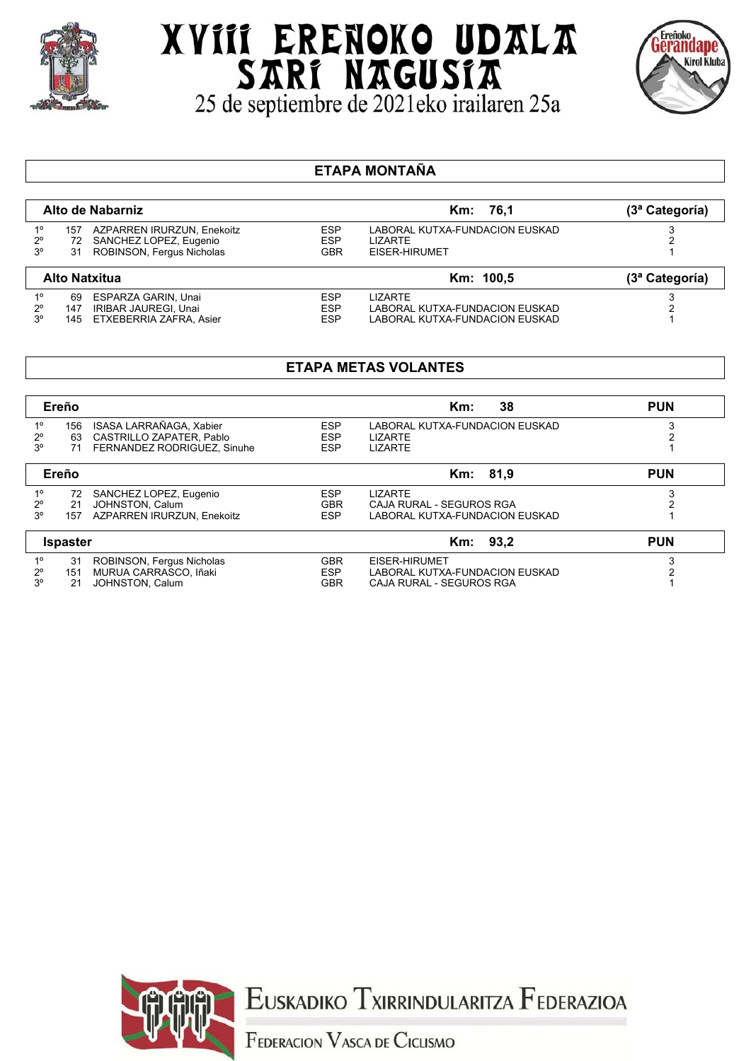

# XVIII ERENOKO UDALA SARI NAGUSIA<br>25 de septiembre de 2021eko irailaren 25a



#### **ETAPA MONTAÑA**

|                                           |                 | Alto de Nabarniz                                                                  |                                        | Km: 76.1                                                          | (3ª Categoría) |
|-------------------------------------------|-----------------|-----------------------------------------------------------------------------------|----------------------------------------|-------------------------------------------------------------------|----------------|
| $1^{\circ}$<br>$2^{\circ}$<br>$3^{\circ}$ | 157<br>72<br>31 | AZPARREN IRURZUN, Enekoitz<br>SANCHEZ LOPEZ, Eugenio<br>ROBINSON, Fergus Nicholas | <b>ESP</b><br><b>ESP</b><br><b>GBR</b> | LABORAL KUTXA-FUNDACION EUSKAD<br><b>LIZARTE</b><br>EISER-HIRUMET |                |
| <b>Alto Natxitua</b>                      |                 |                                                                                   |                                        |                                                                   |                |
|                                           |                 |                                                                                   |                                        | Km: 100,5                                                         | (3ª Categoría) |

### **ETAPA METAS VOLANTES**

|                 | Ereño |                             |            | 38<br>$Km$ :                   |  |
|-----------------|-------|-----------------------------|------------|--------------------------------|--|
| 10              | 156   | ISASA LARRAÑAGA, Xabier     | <b>ESP</b> | LABORAL KUTXA-FUNDACION EUSKAD |  |
| $2^{\circ}$     | 63    | CASTRILLO ZAPATER, Pablo    | <b>ESP</b> | <b>LIZARTE</b>                 |  |
| 3 <sup>o</sup>  | 71    | FERNANDEZ RODRIGUEZ, Sinuhe | <b>ESP</b> | <b>LIZARTE</b>                 |  |
| Ereño           |       | Km: 81,9                    | <b>PUN</b> |                                |  |
| $1^{\circ}$     | 72    | SANCHEZ LOPEZ, Eugenio      | <b>ESP</b> | <b>LIZARTE</b>                 |  |
| $2^{\circ}$     | 21    | JOHNSTON, Calum             | <b>GBR</b> | CAJA RURAL - SEGUROS RGA       |  |
| 3°              | 157   | AZPARREN IRURZUN, Enekoitz  | <b>ESP</b> | LABORAL KUTXA-FUNDACION EUSKAD |  |
| <b>Ispaster</b> |       | Km: 93.2                    | <b>PUN</b> |                                |  |
| $1^{\circ}$     | 31    | ROBINSON, Fergus Nicholas   | <b>GBR</b> | EISER-HIRUMET                  |  |
| $2^{\circ}$     | 151   | MURUA CARRASCO. Iñaki       | <b>ESP</b> | LABORAL KUTXA-FUNDACION EUSKAD |  |
| 3 <sup>o</sup>  | 21    | JOHNSTON, Calum             | <b>GBR</b> | CAJA RURAL - SEGUROS RGA       |  |



EUSKADIKO TXIRRINDULARITZA FEDERAZIOA